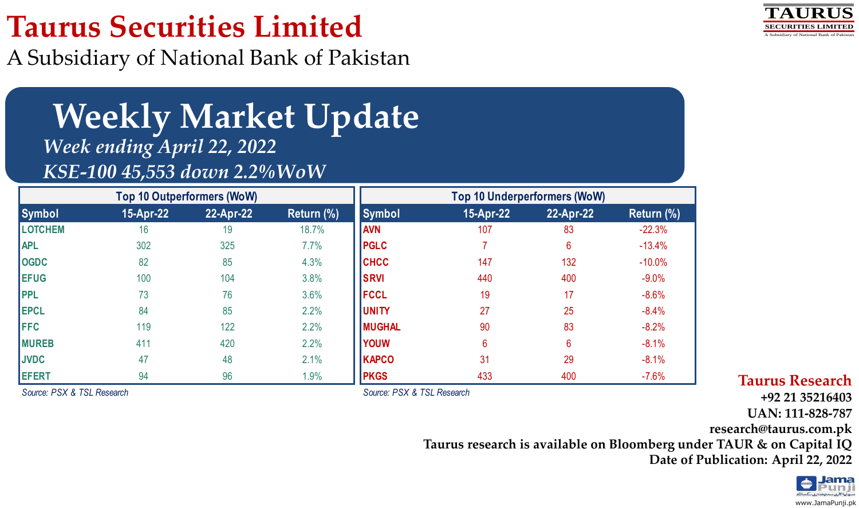# **Taurus Securities Limited**

A Subsidiary of National Bank of Pakistan



# **Weekly Market Update** *Week ending April 22, 2022 KSE-100 45,553 down 2.2%WoW*

| <b>Top 10 Outperformers (WoW)</b> |           |           |            | <b>Top 10 Underperformers (WoW)</b> |           |           |            |
|-----------------------------------|-----------|-----------|------------|-------------------------------------|-----------|-----------|------------|
| <b>Symbol</b>                     | 15-Apr-22 | 22-Apr-22 | Return (%) | Symbol                              | 15-Apr-22 | 22-Apr-22 | Return (%) |
| <b>LOTCHEM</b>                    | 16        | 19        | 18.7%      | <b>AVN</b>                          | 107       | 83        | $-22.3%$   |
| <b>APL</b>                        | 302       | 325       | 7.7%       | <b>PGLC</b>                         |           | 6         | $-13.4%$   |
| <b>OGDC</b>                       | 82        | 85        | 4.3%       | <b>CHCC</b>                         | 147       | 132       | $-10.0%$   |
| <b>EFUG</b>                       | 100       | 104       | 3.8%       | <b>SRVI</b>                         | 440       | 400       | $-9.0%$    |
| <b>PPL</b>                        | 73        | 76        | 3.6%       | <b>IFCCL</b>                        | 19        | 17        | $-8.6%$    |
| <b>EPCL</b>                       | 84        | 85        | 2.2%       | <b>JUNITY</b>                       | 27        | 25        | $-8.4%$    |
| <b>FFC</b>                        | 119       | 122       | 2.2%       | <b>MUGHAL</b>                       | 90        | 83        | $-8.2%$    |
| <b>MUREB</b>                      | 411       | 420       | 2.2%       | <b>YOUW</b>                         | 6         | 6         | $-8.1%$    |
| <b>JVDC</b>                       | 47        | 48        | 2.1%       | <b>KAPCO</b>                        | 31        | 29        | $-8.1%$    |
| <b>EFERT</b>                      | 94        | 96        | 1.9%       | <b>PKGS</b>                         | 433       | 400       | $-7.6%$    |

*Source: PSX & TSL Research*

*Source: PSX & TSL Research*

**Taurus Research**

**+92 21 35216403**

**UAN: 111-828-787**

**research@taurus.com.pk**

**Taurus research is available on Bloomberg under TAUR & on Capital IQ**

**Date of Publication: April 22, 2022**

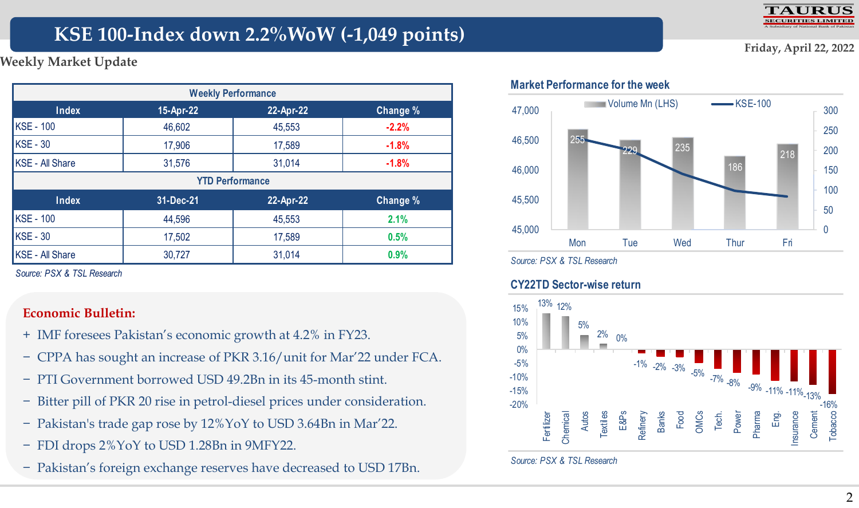

**Friday, April 22, 2022**

# **KSE 100-Index down 2.2%WoW (-1,049 points)**

**Weekly Market Update**

| <b>Weekly Performance</b>                   |        |                        |         |  |  |  |  |  |  |
|---------------------------------------------|--------|------------------------|---------|--|--|--|--|--|--|
| Index<br>22-Apr-22<br>15-Apr-22<br>Change % |        |                        |         |  |  |  |  |  |  |
| <b>KSE - 100</b>                            | 46,602 | 45,553                 | $-2.2%$ |  |  |  |  |  |  |
| KSE - 30                                    | 17,906 | 17,589                 | $-1.8%$ |  |  |  |  |  |  |
| KSE - All Share                             | 31,576 | 31,014                 | $-1.8%$ |  |  |  |  |  |  |
|                                             |        | <b>YTD Performance</b> |         |  |  |  |  |  |  |
| Index<br>31-Dec-21<br>22-Apr-22<br>Change % |        |                        |         |  |  |  |  |  |  |
| <b>KSE - 100</b>                            | 44,596 | 45,553                 | 2.1%    |  |  |  |  |  |  |
| KSE - 30                                    | 17,502 | 17,589                 | 0.5%    |  |  |  |  |  |  |
| KSE - All Share                             | 30,727 | 31,014                 | 0.9%    |  |  |  |  |  |  |

*Source: PSX & TSL Research*

### **Economic Bulletin:**

- + IMF foresees Pakistan"s economic growth at 4.2% in FY23.
- − CPPA has sought an increase of PKR 3.16/unit for Mar"22 under FCA.
- − PTI Government borrowed USD 49.2Bn in its 45-month stint.
- − Bitter pill of PKR 20 rise in petrol-diesel prices under consideration.
- − Pakistan's trade gap rose by 12%YoY to USD 3.64Bn in Mar"22.
- − FDI drops 2%YoY to USD 1.28Bn in 9MFY22.
- − Pakistan"s foreign exchange reserves have decreased to USD 17Bn.





### **Market Performance for the week**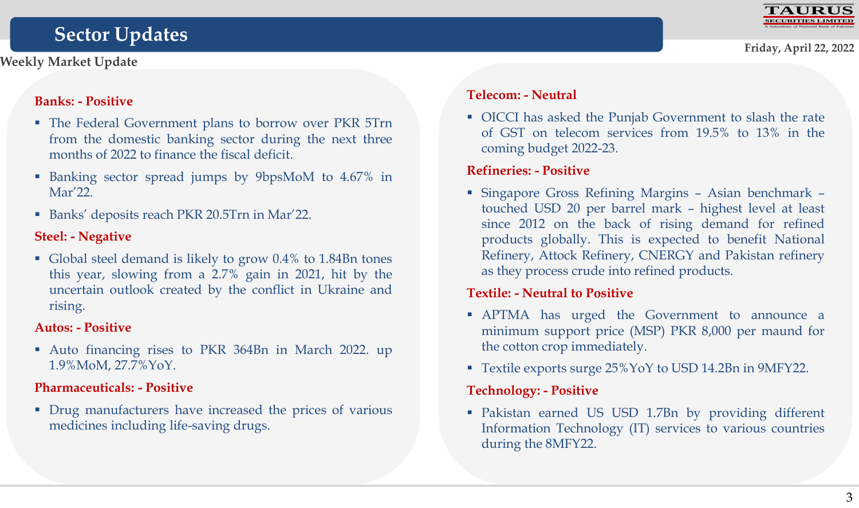# **Sector Updates**



### **Banks: - Positive**

- The Federal Government plans to borrow over PKR 5Trn from the domestic banking sector during the next three months of 2022 to finance the fiscal deficit.
- Banking sector spread jumps by 9bpsMoM to 4.67% in Mar'22.
- Banks' deposits reach PKR 20.5Trn in Mar'22.

# **Steel: - Negative**

 Global steel demand is likely to grow 0.4% to 1.84Bn tones this year, slowing from a 2.7% gain in 2021, hit by the uncertain outlook created by the conflict in Ukraine and rising.

# **Autos: - Positive**

 Auto financing rises to PKR 364Bn in March 2022. up 1.9%MoM, 27.7%YoY.

# **Pharmaceuticals: - Positive**

 Drug manufacturers have increased the prices of various medicines including life-saving drugs.

# **Telecom: - Neutral**

 OICCI has asked the Punjab Government to slash the rate of GST on telecom services from 19.5% to 13% in the coming budget 2022-23.

### **Refineries: - Positive**

 Singapore Gross Refining Margins – Asian benchmark – touched USD 20 per barrel mark – highest level at least since 2012 on the back of rising demand for refined products globally. This is expected to benefit National Refinery, Attock Refinery, CNERGY and Pakistan refinery as they process crude into refined products.

# **Textile: - Neutral to Positive**

- APTMA has urged the Government to announce a minimum support price (MSP) PKR 8,000 per maund for the cotton crop immediately.
- Textile exports surge 25%YoY to USD 14.2Bn in 9MFY22.

# **Technology: - Positive**

 Pakistan earned US USD 1.7Bn by providing different Information Technology (IT) services to various countries during the 8MFY22.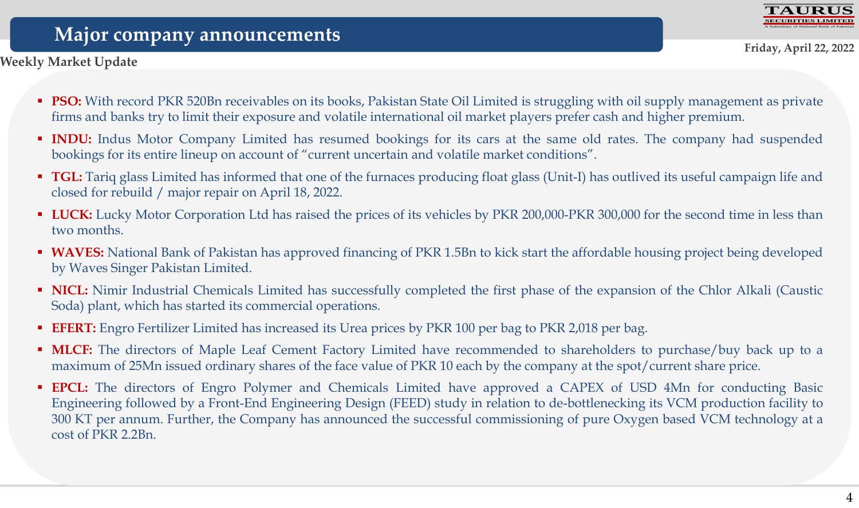

# **Major company announcements**

**Weekly Market Update**

- **PSO:** With record PKR 520Bn receivables on its books, Pakistan State Oil Limited is struggling with oil supply management as private firms and banks try to limit their exposure and volatile international oil market players prefer cash and higher premium.
- **INDU:** Indus Motor Company Limited has resumed bookings for its cars at the same old rates. The company had suspended bookings for its entire lineup on account of "current uncertain and volatile market conditions".
- **TGL:** Tariq glass Limited has informed that one of the furnaces producing float glass (Unit-I) has outlived its useful campaign life and closed for rebuild / major repair on April 18, 2022.
- **LUCK:** Lucky Motor Corporation Ltd has raised the prices of its vehicles by PKR 200,000-PKR 300,000 for the second time in less than two months.
- **WAVES:** National Bank of Pakistan has approved financing of PKR 1.5Bn to kick start the affordable housing project being developed by Waves Singer Pakistan Limited.
- **NICL:** Nimir Industrial Chemicals Limited has successfully completed the first phase of the expansion of the Chlor Alkali (Caustic Soda) plant, which has started its commercial operations.
- **EFERT:** Engro Fertilizer Limited has increased its Urea prices by PKR 100 per bag to PKR 2,018 per bag.
- **MLCF:** The directors of Maple Leaf Cement Factory Limited have recommended to shareholders to purchase/buy back up to a maximum of 25Mn issued ordinary shares of the face value of PKR 10 each by the company at the spot/current share price.
- **EPCL:** The directors of Engro Polymer and Chemicals Limited have approved a CAPEX of USD 4Mn for conducting Basic Engineering followed by a Front-End Engineering Design (FEED) study in relation to de-bottlenecking its VCM production facility to 300 KT per annum. Further, the Company has announced the successful commissioning of pure Oxygen based VCM technology at a cost of PKR 2.2Bn.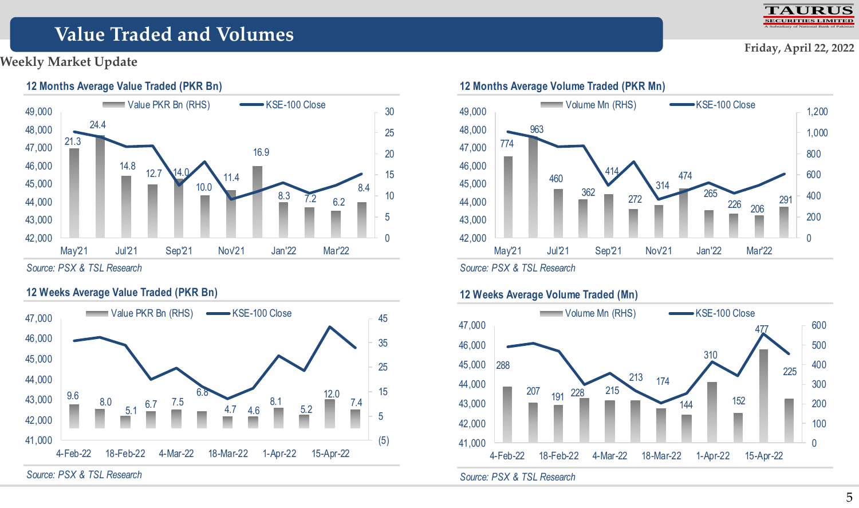#### **TAURUS SECURITIES LIMITED** A Subsidiary of National Bank of Pakistan

# **Value Traded and Volumes**

### **Weekly Market Update**



*Source: PSX & TSL Research*

### **12 Weeks Average Value Traded (PKR Bn)**



*Source: PSX & TSL Research*



*Source: PSX & TSL Research*

### **12 Weeks Average Volume Traded (Mn)**



### **Friday, April 22, 2022**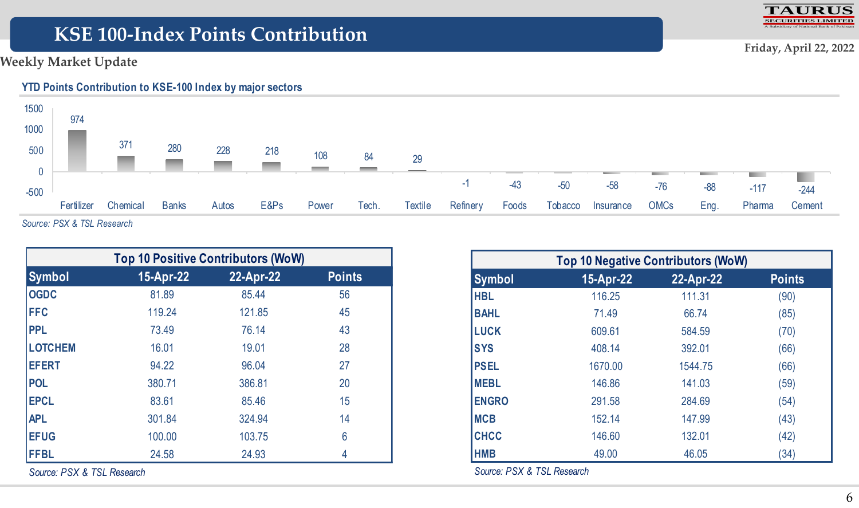# **KSE 100-Index Points Contribution**

### **Weekly Market Update**



| <b>Top 10 Positive Contributors (WoW)</b> |           |           |               |  |  |  |  |
|-------------------------------------------|-----------|-----------|---------------|--|--|--|--|
| <b>Symbol</b>                             | 15-Apr-22 | 22-Apr-22 | <b>Points</b> |  |  |  |  |
| <b>OGDC</b>                               | 81.89     | 85.44     | 56            |  |  |  |  |
| <b>FFC</b>                                | 119.24    | 121.85    | 45            |  |  |  |  |
| <b>PPL</b>                                | 73.49     | 76.14     | 43            |  |  |  |  |
| <b>LOTCHEM</b>                            | 16.01     | 19.01     | 28            |  |  |  |  |
| <b>EFERT</b>                              | 94.22     | 96.04     | 27            |  |  |  |  |
| <b>POL</b>                                | 380.71    | 386.81    | 20            |  |  |  |  |
| <b>EPCL</b>                               | 83.61     | 85.46     | 15            |  |  |  |  |
| <b>APL</b>                                | 301.84    | 324.94    | 14            |  |  |  |  |
| <b>EFUG</b>                               | 100.00    | 103.75    | 6             |  |  |  |  |
| <b>FFBL</b>                               | 24.58     | 24.93     | 4             |  |  |  |  |

*Source: PSX & TSL Research*

| <b>Top 10 Negative Contributors (WoW)</b> |           |           |               |  |  |  |  |
|-------------------------------------------|-----------|-----------|---------------|--|--|--|--|
| <b>Symbol</b>                             | 15-Apr-22 | 22-Apr-22 | <b>Points</b> |  |  |  |  |
| <b>HBL</b>                                | 116.25    | 111.31    | (90)          |  |  |  |  |
| <b>BAHL</b>                               | 71.49     | 66.74     | (85)          |  |  |  |  |
| <b>LUCK</b>                               | 609.61    | 584.59    | (70)          |  |  |  |  |
| <b>SYS</b>                                | 408.14    | 392.01    | (66)          |  |  |  |  |
| <b>PSEL</b>                               | 1670.00   | 1544.75   | (66)          |  |  |  |  |
| <b>MEBL</b>                               | 146.86    | 141.03    | (59)          |  |  |  |  |
| <b>ENGRO</b>                              | 291.58    | 284.69    | (54)          |  |  |  |  |
| <b>MCB</b>                                | 152.14    | 147.99    | (43)          |  |  |  |  |
| <b>CHCC</b>                               | 146.60    | 132.01    | (42)          |  |  |  |  |
| <b>HMB</b>                                | 49.00     | 46.05     | (34)          |  |  |  |  |

*Source: PSX & TSL Research*

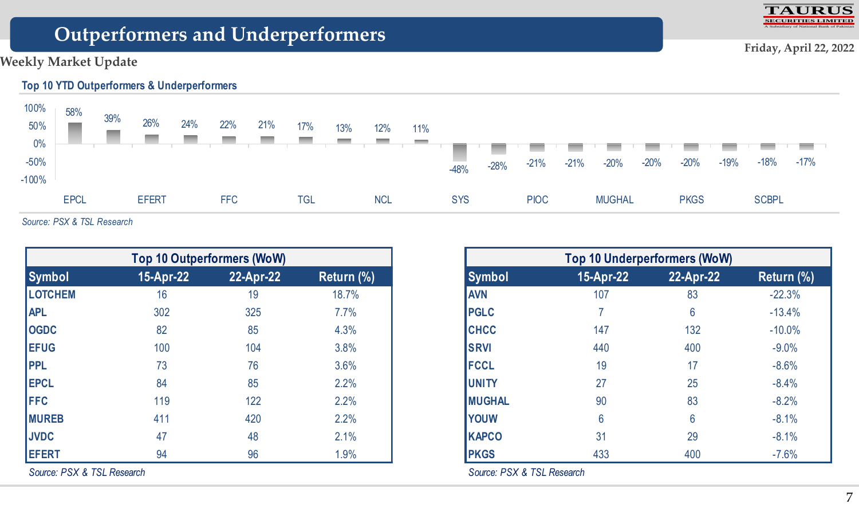

# **Outperformers and Underperformers**

### **Weekly Market Update**



*Source: PSX & TSL Research*

| <b>Top 10 Outperformers (WoW)</b>                     |     |     |       |  |  |  |  |  |  |  |
|-------------------------------------------------------|-----|-----|-------|--|--|--|--|--|--|--|
| 15-Apr-22<br>22-Apr-22<br><b>Symbol</b><br>Return (%) |     |     |       |  |  |  |  |  |  |  |
| <b>LOTCHEM</b>                                        | 16  | 19  | 18.7% |  |  |  |  |  |  |  |
| <b>APL</b>                                            | 302 | 325 | 7.7%  |  |  |  |  |  |  |  |
| <b>OGDC</b>                                           | 82  | 85  | 4.3%  |  |  |  |  |  |  |  |
| <b>EFUG</b>                                           | 100 | 104 | 3.8%  |  |  |  |  |  |  |  |
| <b>PPL</b>                                            | 73  | 76  | 3.6%  |  |  |  |  |  |  |  |
| <b>EPCL</b>                                           | 84  | 85  | 2.2%  |  |  |  |  |  |  |  |
| <b>FFC</b>                                            | 119 | 122 | 2.2%  |  |  |  |  |  |  |  |
| <b>MUREB</b>                                          | 411 | 420 | 2.2%  |  |  |  |  |  |  |  |
| <b>JVDC</b>                                           | 47  | 48  | 2.1%  |  |  |  |  |  |  |  |
| <b>EFERT</b>                                          | 94  | 96  | 1.9%  |  |  |  |  |  |  |  |

*Source: PSX & TSL Research*

| <b>Top 10 Underperformers (WoW)</b>                   |     |     |          |  |  |  |  |  |  |  |
|-------------------------------------------------------|-----|-----|----------|--|--|--|--|--|--|--|
| 15-Apr-22<br>22-Apr-22<br><b>Symbol</b><br>Return (%) |     |     |          |  |  |  |  |  |  |  |
| <b>AVN</b>                                            | 107 | 83  | $-22.3%$ |  |  |  |  |  |  |  |
| <b>PGLC</b>                                           |     | 6   | $-13.4%$ |  |  |  |  |  |  |  |
| <b>CHCC</b>                                           | 147 | 132 | $-10.0%$ |  |  |  |  |  |  |  |
| <b>SRVI</b>                                           | 440 | 400 | $-9.0%$  |  |  |  |  |  |  |  |
| <b>FCCL</b>                                           | 19  | 17  | $-8.6%$  |  |  |  |  |  |  |  |
| <b>UNITY</b>                                          | 27  | 25  | $-8.4%$  |  |  |  |  |  |  |  |
| <b>MUGHAL</b>                                         | 90  | 83  | $-8.2%$  |  |  |  |  |  |  |  |
| <b>YOUW</b>                                           | 6   | 6   | $-8.1%$  |  |  |  |  |  |  |  |
| <b>KAPCO</b>                                          | 31  | 29  | $-8.1%$  |  |  |  |  |  |  |  |
| <b>PKGS</b>                                           | 433 | 400 | $-7.6%$  |  |  |  |  |  |  |  |

*Source: PSX & TSL Research*

**Friday, April 22, 2022**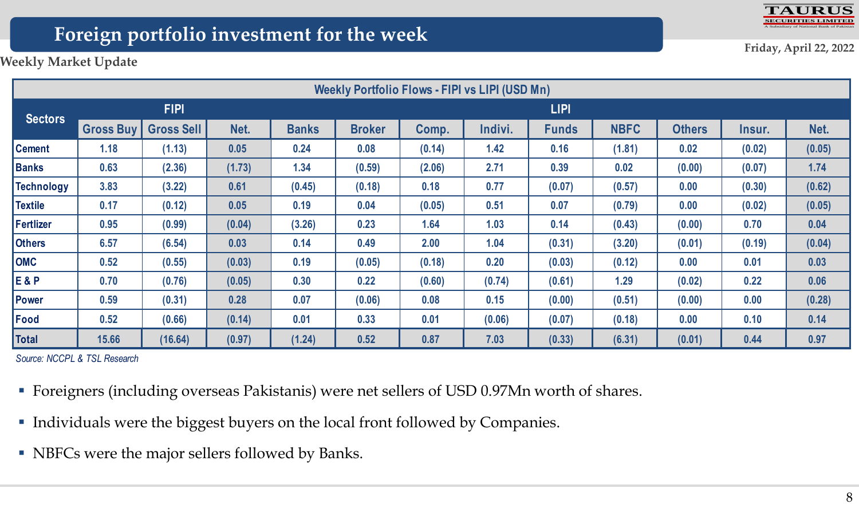

# **Foreign portfolio investment for the week**

**Friday, April 22, 2022**

**Weekly Market Update**

| Weekly Portfolio Flows - FIPI vs LIPI (USD Mn) |                  |                   |        |              |               |        |         |              |             |               |        |        |
|------------------------------------------------|------------------|-------------------|--------|--------------|---------------|--------|---------|--------------|-------------|---------------|--------|--------|
|                                                | <b>FIPI</b>      |                   |        |              | <b>LIPI</b>   |        |         |              |             |               |        |        |
| <b>Sectors</b>                                 | <b>Gross Buy</b> | <b>Gross Sell</b> | Net.   | <b>Banks</b> | <b>Broker</b> | Comp.  | Indivi. | <b>Funds</b> | <b>NBFC</b> | <b>Others</b> | Insur. | Net.   |
| <b>Cement</b>                                  | 1.18             | (1.13)            | 0.05   | 0.24         | 0.08          | (0.14) | 1.42    | 0.16         | (1.81)      | 0.02          | (0.02) | (0.05) |
| Banks                                          | 0.63             | (2.36)            | (1.73) | 1.34         | (0.59)        | (2.06) | 2.71    | 0.39         | 0.02        | (0.00)        | (0.07) | 1.74   |
| Technology                                     | 3.83             | (3.22)            | 0.61   | (0.45)       | (0.18)        | 0.18   | 0.77    | (0.07)       | (0.57)      | 0.00          | (0.30) | (0.62) |
| <b>Textile</b>                                 | 0.17             | (0.12)            | 0.05   | 0.19         | 0.04          | (0.05) | 0.51    | 0.07         | (0.79)      | 0.00          | (0.02) | (0.05) |
| Fertlizer                                      | 0.95             | (0.99)            | (0.04) | (3.26)       | 0.23          | 1.64   | 1.03    | 0.14         | (0.43)      | (0.00)        | 0.70   | 0.04   |
| <b>Others</b>                                  | 6.57             | (6.54)            | 0.03   | 0.14         | 0.49          | 2.00   | 1.04    | (0.31)       | (3.20)      | (0.01)        | (0.19) | (0.04) |
| <b>OMC</b>                                     | 0.52             | (0.55)            | (0.03) | 0.19         | (0.05)        | (0.18) | 0.20    | (0.03)       | (0.12)      | 0.00          | 0.01   | 0.03   |
| <b>E&amp;P</b>                                 | 0.70             | (0.76)            | (0.05) | 0.30         | 0.22          | (0.60) | (0.74)  | (0.61)       | 1.29        | (0.02)        | 0.22   | 0.06   |
| Power                                          | 0.59             | (0.31)            | 0.28   | 0.07         | (0.06)        | 0.08   | 0.15    | (0.00)       | (0.51)      | (0.00)        | 0.00   | (0.28) |
| <b>Food</b>                                    | 0.52             | (0.66)            | (0.14) | 0.01         | 0.33          | 0.01   | (0.06)  | (0.07)       | (0.18)      | 0.00          | 0.10   | 0.14   |
| Total                                          | 15.66            | (16.64)           | (0.97) | (1.24)       | 0.52          | 0.87   | 7.03    | (0.33)       | (6.31)      | (0.01)        | 0.44   | 0.97   |

*Source: NCCPL & TSL Research*

- Foreigners (including overseas Pakistanis) were net sellers of USD 0.97Mn worth of shares.
- Individuals were the biggest buyers on the local front followed by Companies.
- NBFCs were the major sellers followed by Banks.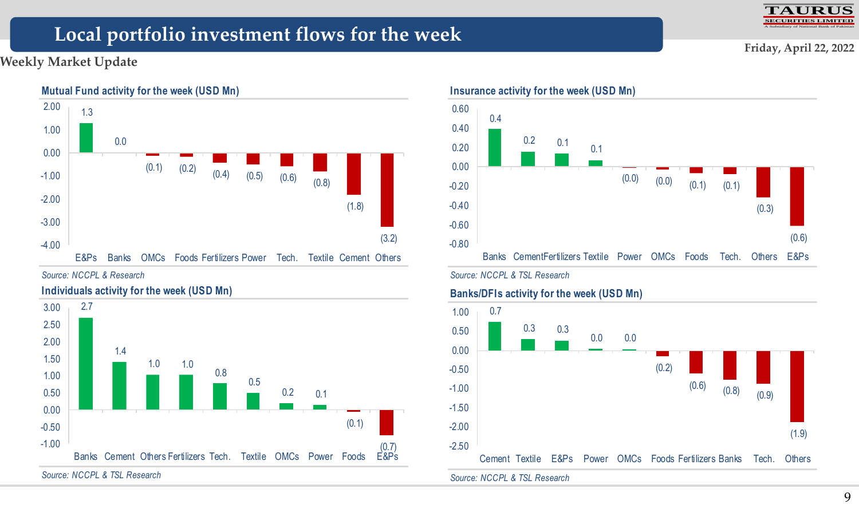# **Local portfolio investment flows for the week**

### **Weekly Market Update**



*Source: NCCPL & Research*



*Source: NCCPL & TSL Research*



### **Insurance activity for the week (USD Mn)**



### **Banks/DFIs activity for the week (USD Mn)**



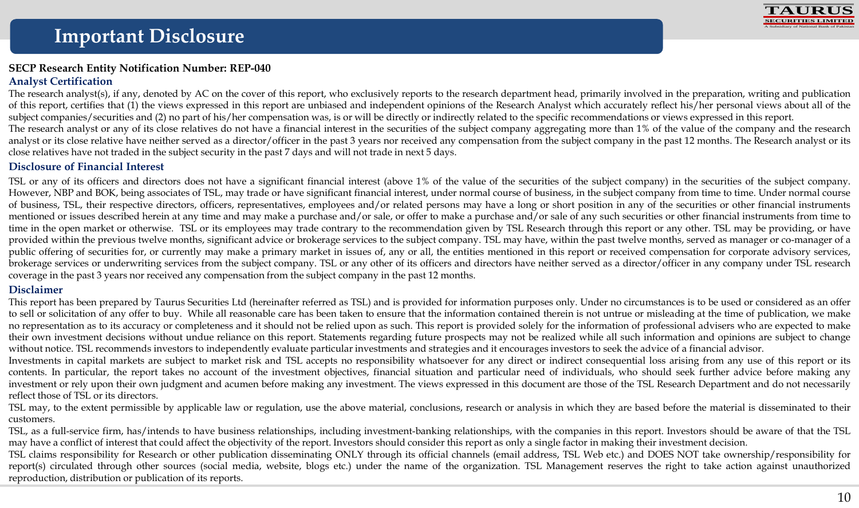

#### **SECP Research Entity Notification Number: REP-040 Analyst Certification**

The research analyst(s), if any, denoted by AC on the cover of this report, who exclusively reports to the research department head, primarily involved in the preparation, writing and publication of this report, certifies that (1) the views expressed in this report are unbiased and independent opinions of the Research Analyst which accurately reflect his/her personal views about all of the subject companies/securities and (2) no part of his/her compensation was, is or will be directly or indirectly related to the specific recommendations or views expressed in this report. The research analyst or any of its close relatives do not have a financial interest in the securities of the subject company aggregating more than 1% of the value of the company and the research analyst or its close relative have neither served as a director/officer in the past 3 years nor received any compensation from the subject company in the past 12 months. The Research analyst or its close relatives have not traded in the subject security in the past 7 days and will not trade in next 5 days.

#### **Disclosure of Financial Interest**

TSL or any of its officers and directors does not have a significant financial interest (above 1% of the value of the securities of the subject company) in the securities of the subject company. However, NBP and BOK, being associates of TSL, may trade or have significant financial interest, under normal course of business, in the subject company from time to time. Under normal course of business, TSL, their respective directors, officers, representatives, employees and/or related persons may have a long or short position in any of the securities or other financial instruments mentioned or issues described herein at any time and may make a purchase and/or sale, or offer to make a purchase and/or sale of any such securities or other financial instruments from time to time in the open market or otherwise. TSL or its employees may trade contrary to the recommendation given by TSL Research through this report or any other. TSL may be providing, or have provided within the previous twelve months, significant advice or brokerage services to the subject company. TSL may have, within the past twelve months, served as manager or co-manager of a public offering of securities for, or currently may make a primary market in issues of, any or all, the entities mentioned in this report or received compensation for corporate advisory services, brokerage services or underwriting services from the subject company. TSL or any other of its officers and directors have neither served as a director/officer in any company under TSL research coverage in the past 3 years nor received any compensation from the subject company in the past 12 months.

#### **Disclaimer**

This report has been prepared by Taurus Securities Ltd (hereinafter referred as TSL) and is provided for information purposes only. Under no circumstances is to be used or considered as an offer to sell or solicitation of any offer to buy. While all reasonable care has been taken to ensure that the information contained therein is not untrue or misleading at the time of publication, we make no representation as to its accuracy or completeness and it should not be relied upon as such. This report is provided solely for the information of professional advisers who are expected to make their own investment decisions without undue reliance on this report. Statements regarding future prospects may not be realized while all such information and opinions are subject to change without notice. TSL recommends investors to independently evaluate particular investments and strategies and it encourages investors to seek the advice of a financial advisor.

Investments in capital markets are subject to market risk and TSL accepts no responsibility whatsoever for any direct or indirect consequential loss arising from any use of this report or its contents. In particular, the report takes no account of the investment objectives, financial situation and particular need of individuals, who should seek further advice before making any investment or rely upon their own judgment and acumen before making any investment. The views expressed in this document are those of the TSL Research Department and do not necessarily reflect those of TSL or its directors.

TSL may, to the extent permissible by applicable law or regulation, use the above material, conclusions, research or analysis in which they are based before the material is disseminated to their customers.

TSL, as a full-service firm, has/intends to have business relationships, including investment-banking relationships, with the companies in this report. Investors should be aware of that the TSL may have a conflict of interest that could affect the objectivity of the report. Investors should consider this report as only a single factor in making their investment decision.

TSL claims responsibility for Research or other publication disseminating ONLY through its official channels (email address, TSL Web etc.) and DOES NOT take ownership/responsibility for report(s) circulated through other sources (social media, website, blogs etc.) under the name of the organization. TSL Management reserves the right to take action against unauthorized reproduction, distribution or publication of its reports.